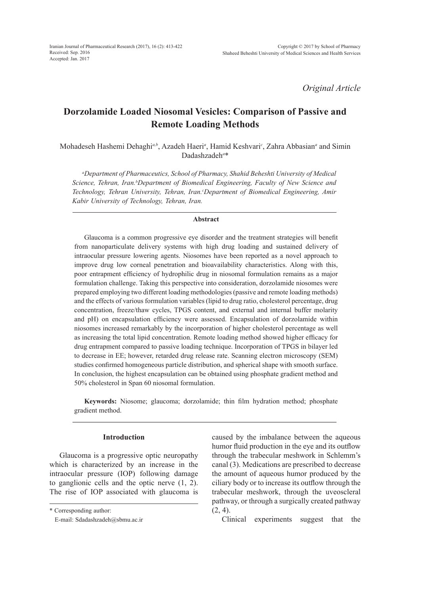*Original Article*

# **Dorzolamide Loaded Niosomal Vesicles: Comparison of Passive and Remote Loading Methods**

Mohadeseh Hashemi Dehaghi<sup>a, b</sup>, Azadeh Haeri<sup>a</sup>, Hamid Keshvari<sup>c</sup>, Zahra Abbasian<sup>a</sup> and Simin Dadashzadeh*<sup>a</sup>* \*

*a Department of Pharmaceutics, School of Pharmacy, Shahid Beheshti University of Medical Science, Tehran, Iran. b Department of Biomedical Engineering, Faculty of New Science and Technology, Tehran University, Tehran, Iran. c Department of Biomedical Engineering, Amir Kabir University of Technology, Tehran, Iran.*

#### **Abstract**

Glaucoma is a common progressive eye disorder and the treatment strategies will benefit from nanoparticulate delivery systems with high drug loading and sustained delivery of intraocular pressure lowering agents. Niosomes have been reported as a novel approach to improve drug low corneal penetration and bioavailability characteristics. Along with this, poor entrapment efficiency of hydrophilic drug in niosomal formulation remains as a major formulation challenge. Taking this perspective into consideration, dorzolamide niosomes were prepared employing two different loading methodologies (passive and remote loading methods) and the effects of various formulation variables (lipid to drug ratio, cholesterol percentage, drug concentration, freeze/thaw cycles, TPGS content, and external and internal buffer molarity and pH) on encapsulation efficiency were assessed. Encapsulation of dorzolamide within niosomes increased remarkably by the incorporation of higher cholesterol percentage as well as increasing the total lipid concentration. Remote loading method showed higher efficacy for drug entrapment compared to passive loading technique. Incorporation of TPGS in bilayer led to decrease in EE; however, retarded drug release rate. Scanning electron microscopy (SEM) studies confirmed homogeneous particle distribution, and spherical shape with smooth surface. In conclusion, the highest encapsulation can be obtained using phosphate gradient method and 50% cholesterol in Span 60 niosomal formulation.

**Keywords:** Niosome; glaucoma; dorzolamide; thin film hydration method; phosphate gradient method.

### **Introduction**

Glaucoma is a progressive optic neuropathy which is characterized by an increase in the intraocular pressure (IOP) following damage to ganglionic cells and the optic nerve (1, 2). The rise of IOP associated with glaucoma is

\* Corresponding author:

E-mail: Sdadashzadeh@sbmu.ac.ir

caused by the imbalance between the aqueous humor fluid production in the eye and its outflow through the trabecular meshwork in Schlemm's canal (3). Medications are prescribed to decrease the amount of aqueous humor produced by the ciliary body or to increase its outflow through the trabecular meshwork, through the uveoscleral pathway, or through a surgically created pathway  $(2, 4)$ .

Clinical experiments suggest that the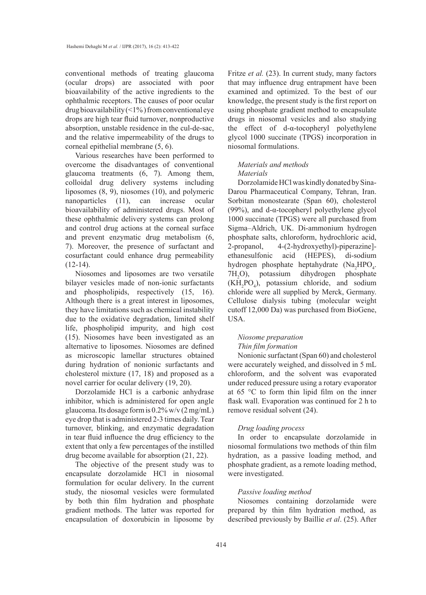conventional methods of treating glaucoma (ocular drops) are associated with poor bioavailability of the active ingredients to the ophthalmic receptors. The causes of poor ocular drug bioavailability  $(1\%)$  from conventional eye drops are high tear fluid turnover, nonproductive absorption, unstable residence in the cul-de-sac, and the relative impermeability of the drugs to corneal epithelial membrane (5, 6).

Various researches have been performed to overcome the disadvantages of conventional glaucoma treatments (6, 7). Among them, colloidal drug delivery systems including liposomes (8, 9), niosomes (10), and polymeric nanoparticles (11), can increase ocular bioavailability of administered drugs. Most of these ophthalmic delivery systems can prolong and control drug actions at the corneal surface and prevent enzymatic drug metabolism (6, 7). Moreover, the presence of surfactant and cosurfactant could enhance drug permeability  $(12-14)$ .

Niosomes and liposomes are two versatile bilayer vesicles made of non-ionic surfactants and phospholipids, respectively (15, 16). Although there is a great interest in liposomes, they have limitations such as chemical instability due to the oxidative degradation, limited shelf life, phospholipid impurity, and high cost (15). Niosomes have been investigated as an alternative to liposomes. Niosomes are defined as microscopic lamellar structures obtained during hydration of nonionic surfactants and cholesterol mixture (17, 18) and proposed as a novel carrier for ocular delivery (19, 20).

Dorzolamide HCl is a carbonic anhydrase inhibitor, which is administered for open angle glaucoma. Its dosage form is 0.2% w/v (2 mg/mL) eye drop that is administered 2-3 times daily. Tear turnover, blinking, and enzymatic degradation in tear fluid influence the drug efficiency to the extent that only a few percentages of the instilled drug become available for absorption (21, 22).

The objective of the present study was to encapsulate dorzolamide HCl in niosomal formulation for ocular delivery. In the current study, the niosomal vesicles were formulated by both thin film hydration and phosphate gradient methods. The latter was reported for encapsulation of doxorubicin in liposome by Fritze *et al.* (23). In current study, many factors that may influence drug entrapment have been examined and optimized. To the best of our knowledge, the present study is the first report on using phosphate gradient method to encapsulate drugs in niosomal vesicles and also studying the effect of d-α-tocopheryl polyethylene glycol 1000 succinate (TPGS) incorporation in niosomal formulations.

### *Materials and methods Materials*

Dorzolamide HCl was kindly donated by Sina-Darou Pharmaceutical Company, Tehran, Iran. Sorbitan monostearate (Span 60), cholesterol (99%), and d- $\alpha$ -tocopheryl polyethylene glycol 1000 succinate (TPGS) were all purchased from Sigma–Aldrich, UK. Di-ammonium hydrogen phosphate salts, chloroform, hydrochloric acid, 2-propanol, 4-(2-hydroxyethyl)-piperazine] ethanesulfonic acid (HEPES), di-sodium hydrogen phosphate heptahydrate  $(Na_2HPO_4)$ . 7H2 O), potassium dihydrogen phosphate  $(KH_2PO_4)$ , potassium chloride, and sodium chloride were all supplied by Merck, Germany. Cellulose dialysis tubing (molecular weight cutoff 12,000 Da) was purchased from BioGene, USA.

### *Niosome preparation Thin film formation*

Nonionic surfactant (Span 60) and cholesterol were accurately weighed, and dissolved in 5 mL chloroform, and the solvent was evaporated under reduced pressure using a rotary evaporator at 65 °C to form thin lipid film on the inner flask wall. Evaporation was continued for 2 h to remove residual solvent (24).

### *Drug loading process*

In order to encapsulate dorzolamide in niosomal formulations two methods of thin film hydration, as a passive loading method, and phosphate gradient, as a remote loading method, were investigated.

### *Passive loading method*

Niosomes containing dorzolamide were prepared by thin film hydration method, as described previously by Baillie *et al*. (25). After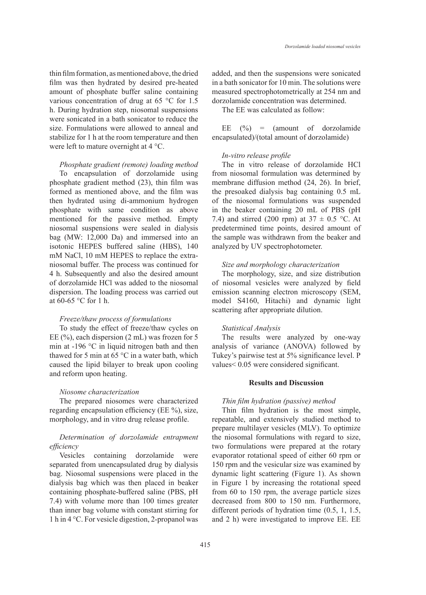thin film formation, as mentioned above, the dried film was then hydrated by desired pre-heated amount of phosphate buffer saline containing various concentration of drug at 65 °C for 1.5 h. During hydration step, niosomal suspensions were sonicated in a bath sonicator to reduce the size. Formulations were allowed to anneal and stabilize for 1 h at the room temperature and then were left to mature overnight at 4 °C.

#### *Phosphate gradient (remote) loading method*

To encapsulation of dorzolamide using phosphate gradient method (23), thin film was formed as mentioned above, and the film was then hydrated using di-ammonium hydrogen phosphate with same condition as above mentioned for the passive method. Empty niosomal suspensions were sealed in dialysis bag (MW: 12,000 Da) and immersed into an isotonic HEPES buffered saline (HBS), 140 mM NaCl, 10 mM HEPES to replace the extraniosomal buffer. The process was continued for 4 h. Subsequently and also the desired amount of dorzolamide HCl was added to the niosomal dispersion. The loading process was carried out at 60-65 °C for 1 h.

#### *Freeze/thaw process of formulations*

To study the effect of freeze/thaw cycles on EE (%), each dispersion (2 mL) was frozen for 5 min at -196 °C in liquid nitrogen bath and then thawed for 5 min at 65  $\degree$ C in a water bath, which caused the lipid bilayer to break upon cooling and reform upon heating.

#### *Niosome characterization*

The prepared niosomes were characterized regarding encapsulation efficiency (EE %), size, morphology, and in vitro drug release profile.

## *Determination of dorzolamide entrapment efficiency*

Vesicles containing dorzolamide were separated from unencapsulated drug by dialysis bag. Niosomal suspensions were placed in the dialysis bag which was then placed in beaker containing phosphate-buffered saline (PBS, pH 7.4) with volume more than 100 times greater than inner bag volume with constant stirring for 1 h in 4 °C. For vesicle digestion, 2-propanol was added, and then the suspensions were sonicated in a bath sonicator for 10 min. The solutions were measured spectrophotometrically at 254 nm and dorzolamide concentration was determined.

The EE was calculated as follow:

EE  $(\% )$  = (amount of dorzolamide encapsulated)/(total amount of dorzolamide)

#### *In-vitro release profile*

The in vitro release of dorzolamide HCl from niosomal formulation was determined by membrane diffusion method (24, 26). In brief, the presoaked dialysis bag containing 0.5 mL of the niosomal formulations was suspended in the beaker containing 20 mL of PBS (pH 7.4) and stirred (200 rpm) at  $37 \pm 0.5$  °C. At predetermined time points, desired amount of the sample was withdrawn from the beaker and analyzed by UV spectrophotometer.

#### *Size and morphology characterization*

The morphology, size, and size distribution of niosomal vesicles were analyzed by field emission scanning electron microscopy (SEM, model S4160, Hitachi) and dynamic light scattering after appropriate dilution.

### *Statistical Analysis*

The results were analyzed by one-way analysis of variance (ANOVA) followed by Tukey's pairwise test at 5% significance level. P values< 0.05 were considered significant.

#### **Results and Discussion**

### *Thin film hydration (passive) method*

Thin film hydration is the most simple, repeatable, and extensively studied method to prepare multilayer vesicles (MLV). To optimize the niosomal formulations with regard to size, two formulations were prepared at the rotary evaporator rotational speed of either 60 rpm or 150 rpm and the vesicular size was examined by dynamic light scattering (Figure 1). As shown in Figure 1 by increasing the rotational speed from 60 to 150 rpm, the average particle sizes decreased from 800 to 150 nm. Furthermore, different periods of hydration time (0.5, 1, 1.5, and 2 h) were investigated to improve EE. EE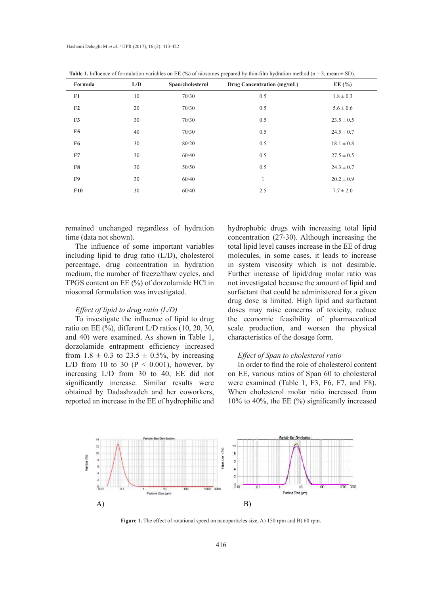| Formula        | L/D | Span/cholesterol | Drug Concentration (mg/mL) | EE $(\% )$     |
|----------------|-----|------------------|----------------------------|----------------|
| F1             | 10  | 70/30            | 0.5                        | $1.8 \pm 0.3$  |
| F <sub>2</sub> | 20  | 70/30            | 0.5                        | $5.6 \pm 0.6$  |
| F <sub>3</sub> | 30  | 70/30            | 0.5                        | $23.5 \pm 0.5$ |
| F <sub>5</sub> | 40  | 70/30            | 0.5                        | $24.5 \pm 0.7$ |
| F6             | 30  | 80/20            | 0.5                        | $18.1 \pm 0.8$ |
| F7             | 30  | 60/40            | 0.5                        | $27.5 \pm 0.5$ |
| F8             | 30  | 50/50            | 0.5                        | $24.3 \pm 0.7$ |
| F9             | 30  | 60/40            | $\mathbf{I}$               | $20.2 \pm 0.9$ |
| F10            | 30  | 60/40            | 2.5                        | $7.7 \pm 2.0$  |

**Table 1.** Influence of formulation variables on EE (%) of niosomes prepared by thin-film hydration method ( $n = 3$ , mean  $\pm$  SD).

remained unchanged regardless of hydration time (data not shown).

The influence of some important variables including lipid to drug ratio (L/D), cholesterol percentage, drug concentration in hydration medium, the number of freeze/thaw cycles, and TPGS content on EE (%) of dorzolamide HCl in niosomal formulation was investigated.

### *Effect of lipid to drug ratio (L/D)*

To investigate the influence of lipid to drug ratio on EE (%), different L/D ratios (10, 20, 30, and 40) were examined. As shown in Table 1, dorzolamide entrapment efficiency increased from  $1.8 \pm 0.3$  to  $23.5 \pm 0.5$ %, by increasing L/D from 10 to 30 ( $P < 0.001$ ), however, by increasing L/D from 30 to 40, EE did not significantly increase. Similar results were obtained by Dadashzadeh and her coworkers, reported an increase in the EE of hydrophilic and hydrophobic drugs with increasing total lipid concentration (27-30). Although increasing the total lipid level causes increase in the EE of drug molecules, in some cases, it leads to increase in system viscosity which is not desirable. Further increase of lipid/drug molar ratio was not investigated because the amount of lipid and surfactant that could be administered for a given drug dose is limited. High lipid and surfactant doses may raise concerns of toxicity, reduce the economic feasibility of pharmaceutical scale production, and worsen the physical characteristics of the dosage form.

## *Effect of Span to cholesterol ratio*

In order to find the role of cholesterol content on EE, various ratios of Span 60 to cholesterol were examined (Table 1, F3, F6, F7, and F8). When cholesterol molar ratio increased from 10% to 40%, the EE (%) significantly increased



Figure 1. The effect of rotational speed on nanoparticles size, A) 150 rpm and B) 60 rpm.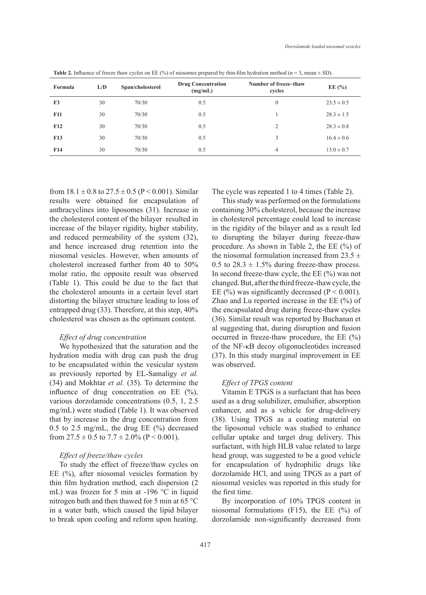| Formula         | L/D | Span/cholesterol | <b>Drug Concentration</b><br>(mg/mL) | Number of freeze-thaw<br>cycles | EE $(\% )$     |
|-----------------|-----|------------------|--------------------------------------|---------------------------------|----------------|
| F <sub>3</sub>  | 30  | 70/30            | 0.5                                  | $\mathbf{0}$                    | $23.5 \pm 0.5$ |
| <b>F11</b>      | 30  | 70/30            | 0.5                                  |                                 | $28.3 \pm 1.5$ |
| F12             | 30  | 70/30            | 0.5                                  | $\overline{c}$                  | $28.3 \pm 0.8$ |
| F13             | 30  | 70/30            | 0.5                                  | 3                               | $16.4 \pm 0.6$ |
| F <sub>14</sub> | 30  | 70/30            | 0.5                                  | 4                               | $13.0 \pm 0.7$ |

**Table 2.** Influence of freeze thaw cycles on EE (%) of niosomes prepared by thin-film hydration method (n = 3, mean  $\pm$  SD).

from  $18.1 \pm 0.8$  to  $27.5 \pm 0.5$  (P < 0.001). Similar results were obtained for encapsulation of anthracyclines into liposomes (31). Increase in the cholesterol content of the bilayer resulted in increase of the bilayer rigidity, higher stability, and reduced permeability of the system (32), and hence increased drug retention into the niosomal vesicles. However, when amounts of cholesterol increased further from 40 to 50% molar ratio, the opposite result was observed (Table 1). This could be due to the fact that the cholesterol amounts in a certain level start distorting the bilayer structure leading to loss of entrapped drug (33). Therefore, at this step, 40% cholesterol was chosen as the optimum content.

### *Effect of drug concentration*

We hypothesized that the saturation and the hydration media with drug can push the drug to be encapsulated within the vesicular system as previously reported by EL-Samaligy *et al.*  (34) and Mokhtar *et al.* (35). To determine the influence of drug concentration on EE (%), various dorzolamide concentrations (0.5, 1, 2.5 mg/mL) were studied (Table 1). It was observed that by increase in the drug concentration from 0.5 to 2.5 mg/mL, the drug EE  $(\%)$  decreased from  $27.5 \pm 0.5$  to  $7.7 \pm 2.0\%$  (P  $\leq 0.001$ ).

### *Effect of freeze/thaw cycles*

To study the effect of freeze/thaw cycles on EE (%), after niosomal vesicles formation by thin film hydration method, each dispersion (2 mL) was frozen for 5 min at -196 °C in liquid nitrogen bath and then thawed for 5 min at 65 °C in a water bath, which caused the lipid bilayer to break upon cooling and reform upon heating. The cycle was repeated 1 to 4 times (Table 2).

This study was performed on the formulations containing 30% cholesterol, because the increase in cholesterol percentage could lead to increase in the rigidity of the bilayer and as a result led to disrupting the bilayer during freeze-thaw procedure. As shown in Table 2, the EE (%) of the niosomal formulation increased from  $23.5 \pm$ 0.5 to  $28.3 \pm 1.5\%$  during freeze-thaw process. In second freeze-thaw cycle, the EE (%) was not changed. But, after the third freeze-thaw cycle, the EE (%) was significantly decreased ( $P < 0.001$ ). Zhao and Lu reported increase in the EE (%) of the encapsulated drug during freeze-thaw cycles (36). Similar result was reported by Buchanan et al suggesting that, during disruption and fusion occurred in freeze-thaw procedure, the EE (%) of the NF-κB decoy oligonucleotides increased (37). In this study marginal improvement in EE was observed.

#### *Effect of TPGS content*

Vitamin E TPGS is a surfactant that has been used as a drug solubilizer, emulsifier, absorption enhancer, and as a vehicle for drug-delivery (38). Using TPGS as a coating material on the liposomal vehicle was studied to enhance cellular uptake and target drug delivery. This surfactant, with high HLB value related to large head group, was suggested to be a good vehicle for encapsulation of hydrophilic drugs like dorzolamide HCl, and using TPGS as a part of niosomal vesicles was reported in this study for the first time.

By incorporation of 10% TPGS content in niosomal formulations (F15), the EE (%) of dorzolamide non-significantly decreased from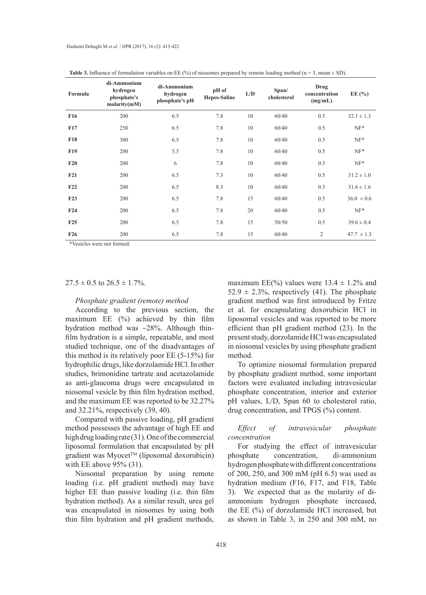| Formula         | di-Ammonium<br>hydrogen<br>phosphate's<br>molarity(mM) | di-Ammonium<br>hydrogen<br>phosphate's pH | pH of<br><b>Hepes-Saline</b> | L/D | Span/<br>cholesterol | Drug<br>concentration<br>(mg/mL) | EE $(\% )$     |
|-----------------|--------------------------------------------------------|-------------------------------------------|------------------------------|-----|----------------------|----------------------------------|----------------|
| <b>F16</b>      | 200                                                    | 6.5                                       | 7.8                          | 10  | 60/40                | 0.5                              | $32.1 \pm 1.3$ |
| F17             | 250                                                    | 6.5                                       | 7.8                          | 10  | 60/40                | 0.5                              | $NF*$          |
| <b>F18</b>      | 300                                                    | 6.5                                       | 7.8                          | 10  | 60/40                | 0.5                              | $NF*$          |
| F <sub>19</sub> | 200                                                    | 5.5                                       | 7.8                          | 10  | 60/40                | 0.5                              | $NF*$          |
| F20             | 200                                                    | 6                                         | 7.8                          | 10  | 60/40                | 0.5                              | $NF*$          |
| F21             | 200                                                    | 6.5                                       | 7.3                          | 10  | 60/40                | 0.5                              | $31.2 \pm 1.0$ |
| F22             | 200                                                    | 6.5                                       | 8.3                          | 10  | 60/40                | 0.5                              | $31.6 \pm 1.6$ |
| F23             | 200                                                    | 6.5                                       | 7.8                          | 15  | 60/40                | 0.5                              | $36.0 \pm 0.6$ |
| F24             | 200                                                    | 6.5                                       | 7.8                          | 20  | 60/40                | 0.5                              | $NF^*$         |
| F25             | 200                                                    | 6.5                                       | 7.8                          | 15  | 50/50                | 0.5                              | $39.6 \pm 0.4$ |
| F26             | 200                                                    | 6.5                                       | 7.8                          | 15  | 60/40                | 2                                | $47.7 \pm 1.3$ |

**Table 3.** Influence of formulation variables on EE (%) of niosomes prepared by remote loading method ( $n = 3$ , mean  $\pm$  SD).

\*Vesicles were not formed.

#### $27.5 \pm 0.5$  to  $26.5 \pm 1.7\%$ .

#### *Phosphate gradient (remote) method*

According to the previous section, the maximum EE (%) achieved by thin film hydration method was ~28%. Although thinfilm hydration is a simple, repeatable, and most studied technique, one of the disadvantages of this method is its relatively poor EE (5-15%) for hydrophilic drugs, like dorzolamide HCl. In other studies, brimonidine tartrate and acetazolamide as anti-glaucoma drugs were encapsulated in niosomal vesicle by thin film hydration method, and the maximum EE was reported to be 32.27% and 32.21%, respectively (39, 40).

Compared with passive loading, pH gradient method possesses the advantage of high EE and high drug loading rate (31). One of the commercial liposomal formulation that encapsulated by pH gradient was Myocet™ (liposomal doxorubicin) with EE above 95% (31).

Niosomal preparation by using remote loading (i.e. pH gradient method) may have higher EE than passive loading (i.e. thin film hydration method). As a similar result, urea gel was encapsulated in niosomes by using both thin film hydration and pH gradient methods, maximum EE(%) values were  $13.4 \pm 1.2\%$  and  $52.9 \pm 2.3\%$ , respectively (41). The phosphate gradient method was first introduced by Fritze et al. for encapsulating doxorubicin HCl in liposomal vesicles and was reported to be more efficient than pH gradient method (23). In the present study, dorzolamide HCl was encapsulated in niosomal vesicles by using phosphate gradient method.

To optimize niosomal formulation prepared by phosphate gradient method, some important factors were evaluated including intravesicular phosphate concentration, interior and exterior pH values, L/D, Span 60 to cholesterol ratio, drug concentration, and TPGS (%) content.

### *Effect of intravesicular phosphate concentration*

For studying the effect of intravesicular phosphate concentration, di-ammonium hydrogen phosphate with different concentrations of 200, 250, and 300 mM (pH 6.5) was used as hydration medium (F16, F17, and F18, Table 3). We expected that as the molarity of diammonium hydrogen phosphate increased, the EE (%) of dorzolamide HCl increased, but as shown in Table 3, in 250 and 300 mM, no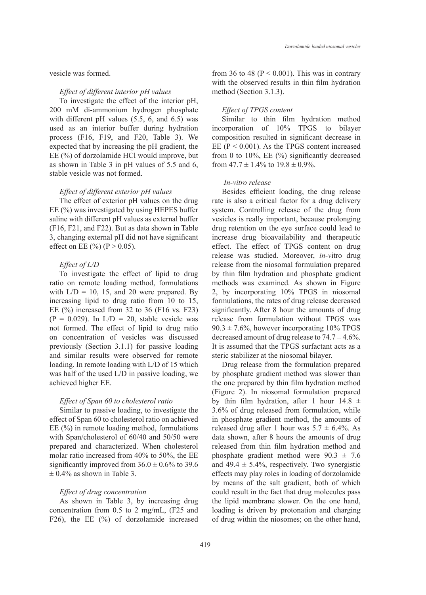vesicle was formed.

#### *Effect of different interior pH values*

To investigate the effect of the interior pH, 200 mM di-ammonium hydrogen phosphate with different pH values (5.5, 6, and 6.5) was used as an interior buffer during hydration process (F16, F19, and F20, Table 3). We expected that by increasing the pH gradient, the EE (%) of dorzolamide HCl would improve, but as shown in Table 3 in pH values of 5.5 and 6, stable vesicle was not formed.

#### *Effect of different exterior pH values*

The effect of exterior pH values on the drug EE (%) was investigated by using HEPES buffer saline with different pH values as external buffer (F16, F21, and F22). But as data shown in Table 3, changing external pH did not have significant effect on EE  $(\%)(P > 0.05)$ .

### *Effect of L/D*

To investigate the effect of lipid to drug ratio on remote loading method, formulations with  $L/D = 10$ , 15, and 20 were prepared. By increasing lipid to drug ratio from 10 to 15, EE (%) increased from 32 to 36 (F16 vs. F23)  $(P = 0.029)$ . In  $L/D = 20$ , stable vesicle was not formed. The effect of lipid to drug ratio on concentration of vesicles was discussed previously (Section 3.1.1) for passive loading and similar results were observed for remote loading. In remote loading with L/D of 15 which was half of the used L/D in passive loading, we achieved higher EE.

### *Effect of Span 60 to cholesterol ratio*

Similar to passive loading, to investigate the effect of Span 60 to cholesterol ratio on achieved EE (%) in remote loading method, formulations with Span/cholesterol of 60/40 and 50/50 were prepared and characterized. When cholesterol molar ratio increased from 40% to 50%, the EE significantly improved from  $36.0 \pm 0.6\%$  to 39.6  $\pm$  0.4% as shown in Table 3.

### *Effect of drug concentration*

As shown in Table 3, by increasing drug concentration from 0.5 to 2 mg/mL, (F25 and F26), the EE (%) of dorzolamide increased from 36 to 48 ( $P < 0.001$ ). This was in contrary with the observed results in thin film hydration method (Section 3.1.3).

### *Effect of TPGS content*

Similar to thin film hydration method incorporation of 10% TPGS to bilayer composition resulted in significant decrease in EE ( $P < 0.001$ ). As the TPGS content increased from 0 to 10%, EE (%) significantly decreased from  $47.7 \pm 1.4\%$  to  $19.8 \pm 0.9\%$ .

#### *In-vitro release*

Besides efficient loading, the drug release rate is also a critical factor for a drug delivery system. Controlling release of the drug from vesicles is really important, because prolonging drug retention on the eye surface could lead to increase drug bioavailability and therapeutic effect. The effect of TPGS content on drug release was studied. Moreover, *in-v*itro drug release from the niosomal formulation prepared by thin film hydration and phosphate gradient methods was examined. As shown in Figure 2, by incorporating 10% TPGS in niosomal formulations, the rates of drug release decreased significantly. After 8 hour the amounts of drug release from formulation without TPGS was  $90.3 \pm 7.6\%$ , however incorporating 10% TPGS decreased amount of drug release to  $74.7 \pm 4.6\%$ . It is assumed that the TPGS surfactant acts as a steric stabilizer at the niosomal bilayer.

Drug release from the formulation prepared by phosphate gradient method was slower than the one prepared by thin film hydration method (Figure 2). In niosomal formulation prepared by thin film hydration, after 1 hour  $14.8 \pm$ 3.6% of drug released from formulation, while in phosphate gradient method, the amounts of released drug after 1 hour was  $5.7 \pm 6.4\%$ . As data shown, after 8 hours the amounts of drug released from thin film hydration method and phosphate gradient method were  $90.3 \pm 7.6$ and  $49.4 \pm 5.4\%$ , respectively. Two synergistic effects may play roles in loading of dorzolamide by means of the salt gradient, both of which could result in the fact that drug molecules pass the lipid membrane slower. On the one hand, loading is driven by protonation and charging of drug within the niosomes; on the other hand,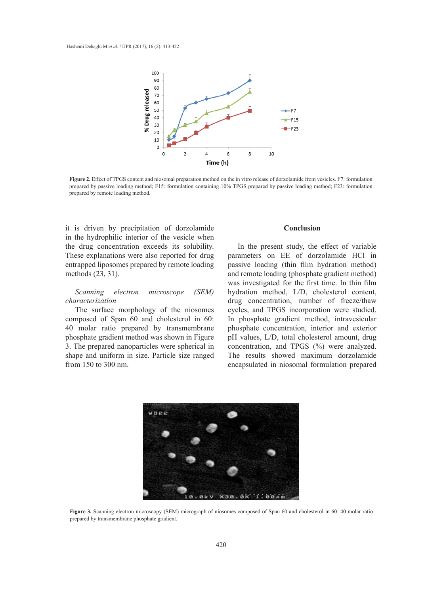

**Figure 2.** Effect of TPGS content and niosomal preparation method on the in vitro release of dorzolamide from vesicles. F7: formulation prepared by passive loading method; F15: formulation containing 10% TPGS prepared by passive loading method; F23: formulation prepared by remote loading method. version prepared by passive loading method; F15:  $F_1$  5:  $F_2$  for  $F_3$  prepared by  $F_4$ 

it is driven by precipitation of dorzolamide in the hydrophilic interior of the vesicle when the drug concentration exceeds its solubility. These explanations were also reported for drug entrapped liposomes prepared by remote loading methods (23, 31).

### *Scanning electron microscope (SEM) characterization*

The surface morphology of the niosomes composed of Span 60 and cholesterol in 60: 40 molar ratio prepared by transmembrane phosphate gradient method was shown in Figure 3. The prepared nanoparticles were spherical in shape and uniform in size. Particle size ranged from 150 to 300 nm.

#### **Conclusion**

In the present study, the effect of variable parameters on EE of dorzolamide HCl in passive loading (thin film hydration method) and remote loading (phosphate gradient method) was investigated for the first time. In thin film hydration method, L/D, cholesterol content, drug concentration, number of freeze/thaw cycles, and TPGS incorporation were studied. In phosphate gradient method, intravesicular phosphate concentration, interior and exterior pH values, L/D, total cholesterol amount, drug concentration, and TPGS (%) were analyzed. The results showed maximum dorzolamide encapsulated in niosomal formulation prepared



**Figure 3.** Scanning electron microscopy (SEM) micrograph of niosomes composed of Span 60 and cholesterol in 60: 40 molar ratio prepared by transmembrane phosphate gradient.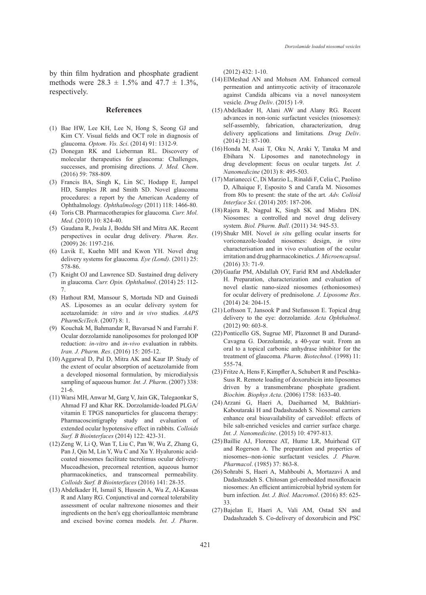by thin film hydration and phosphate gradient methods were  $28.3 \pm 1.5\%$  and  $47.7 \pm 1.3\%$ , respectively.

#### **References**

- Bae HW, Lee KH, Lee N, Hong S, Seong GJ and (1) Kim CY. Visual fields and OCT role in diagnosis of glaucoma*. Optom. Vis. Sci*. (2014) 91: 1312-9.
- (2) Donegan RK and Lieberman RL. Discovery of molecular therapeutics for glaucoma: Challenges, successes, and promising directions*. J. Med. Chem*. (2016) 59: 788-809.
- Francis BA, Singh K, Lin SC, Hodapp E, Jampel (3) HD, Samples JR and Smith SD. Novel glaucoma procedures: a report by the American Academy of Ophthalmology*. Ophthalmology* (2011) 118: 1466-80.
- Toris CB. Pharmacotherapies for glaucoma*. Curr. Mol.*  (4) *Med*. (2010) 10: 824-40.
- Gaudana R, Jwala J, Boddu SH and Mitra AK. Recent (5) perspectives in ocular drug delivery*. Pharm. Res*. (2009) 26: 1197-216.
- Lavik E, Kuehn MH and Kwon YH. Novel drug (6) delivery systems for glaucoma*. Eye (Lond)*. (2011) 25: 578-86.
- (7) Knight OJ and Lawrence SD. Sustained drug delivery in glaucoma*. Curr. Opin. Ophthalmol*. (2014) 25: 112- 7.
- Hathout RM, Mansour S, Mortada ND and Guinedi (8) AS. Liposomes as an ocular delivery system for acetazolamide: *in vitro* and *in vivo* studies*. AAPS PharmSciTech*. (2007) 8: 1.
- (9) Kouchak M, Bahmandar R, Bavarsad N and Farrahi F. Ocular dorzolamide nanoliposomes for prolonged IOP reduction: *in-vitro* and *in-vivo* evaluation in rabbits*. Iran. J. Pharm. Res*. (2016) 15: 205-12.
- (10) Aggarwal D, Pal D, Mitra AK and Kaur IP. Study of the extent of ocular absorption of acetazolamide from a developed niosomal formulation, by microdialysis sampling of aqueous humor*. Int. J. Pharm*. (2007) 338: 21-6.
- Warsi MH, Anwar M, Garg V, Jain GK, Talegaonkar S, (11) Ahmad FJ and Khar RK. Dorzolamide-loaded PLGA/ vitamin E TPGS nanoparticles for glaucoma therapy: Pharmacoscintigraphy study and evaluation of extended ocular hypotensive effect in rabbits*. Colloids Surf. B Biointerfaces* (2014) 122: 423-31.
- $(12)$  Zeng W, Li Q, Wan T, Liu C, Pan W, Wu Z, Zhang G, Pan J, Qin M, Lin Y, Wu C and Xu Y. Hyaluronic acidcoated niosomes facilitate tacrolimus ocular delivery: Mucoadhesion, precorneal retention, aqueous humor pharmacokinetics, and transcorneal permeability*. Colloids Surf. B Biointerfaces* (2016) 141: 28-35.
- Abdelkader H, Ismail S, Hussein A, Wu Z, Al-Kassas (13) R and Alany RG. Conjunctival and corneal tolerability assessment of ocular naltrexone niosomes and their ingredients on the henʹs egg chorioallantoic membrane and excised bovine cornea models*. Int. J. Pharm*.

(2012) 432: 1-10.

- ElMeshad AN and Mohsen AM. Enhanced corneal (14) permeation and antimycotic activity of itraconazole against Candida albicans via a novel nanosystem vesicle*. Drug Deliv*. (2015) 1-9.
- (15) Abdelkader H, Alani AW and Alany RG. Recent advances in non-ionic surfactant vesicles (niosomes): self-assembly, fabrication, characterization, drug delivery applications and limitations*. Drug Deliv*. (2014) 21: 87-100.
- (16) Honda M, Asai T, Oku N, Araki Y, Tanaka M and Ebihara N. Liposomes and nanotechnology in drug development: focus on ocular targets*. Int. J. Nanomedicine* (2013) 8: 495-503.
- Marianecci C, Di Marzio L, Rinaldi F, Celia C, Paolino (17) D, Alhaique F, Esposito S and Carafa M. Niosomes from 80s to present: the state of the art*. Adv. Colloid Interface Sci*. (2014) 205: 187-206.
- $(18)$  Rajera R, Nagpal K, Singh SK and Mishra DN. Niosomes: a controlled and novel drug delivery system*. Biol. Pharm. Bull*. (2011) 34: 945-53.
- (19) Shukr MH. Novel *in situ* gelling ocular inserts for voriconazole-loaded niosomes: design, *in vitro* characterisation and in vivo evaluation of the ocular irritation and drug pharmacokinetics*. J. Microencapsul*. (2016) 33: 71-9.
- (20) Gaafar PM, Abdallah OY, Farid RM and Abdelkader H. Preparation, characterization and evaluation of novel elastic nano-sized niosomes (ethoniosomes) for ocular delivery of prednisolone*. J. Liposome Res*. (2014) 24: 204-15.
- (21) Loftsson T, Jansook P and Stefansson E. Topical drug delivery to the eye: dorzolamide*. Acta Ophthalmol*. (2012) 90: 603-8.
- (22) Ponticello GS, Sugrue MF, Plazonnet B and Durand-Cavagna G. Dorzolamide, a 40-year wait. From an oral to a topical carbonic anhydrase inhibitor for the treatment of glaucoma*. Pharm. Biotechnol*. (1998) 11: 555-74.
- (23) Fritze A, Hens F, Kimpfler A, Schubert R and Peschka-Suss R. Remote loading of doxorubicin into liposomes driven by a transmembrane phosphate gradient*. Biochim. Biophys Acta*. (2006) 1758: 1633-40.
- (24) Arzani G, Haeri A, Daeihamed M, Bakhtiari-Kaboutaraki H and Dadashzadeh S. Niosomal carriers enhance oral bioavailability of carvedilol: effects of bile salt-enriched vesicles and carrier surface charge*. Int. J. Nanomedicine*. (2015) 10: 4797-813.
- (25) Baillie AJ, Florence AT, Hume LR, Muirhead GT and Rogerson A. The preparation and properties of niosomes--non-ionic surfactant vesicles*. J. Pharm. Pharmacol*. (1985) 37: 863-8.
- (26) Sohrabi S, Haeri A, Mahboubi A, Mortazavi A and Dadashzadeh S. Chitosan gel-embedded moxifloxacin niosomes: An efficient antimicrobial hybrid system for burn infection*. Int. J. Biol. Macromol*. (2016) 85: 625- 33.
- (27) Bajelan E, Haeri A, Vali AM, Ostad SN and Dadashzadeh S. Co-delivery of doxorubicin and PSC